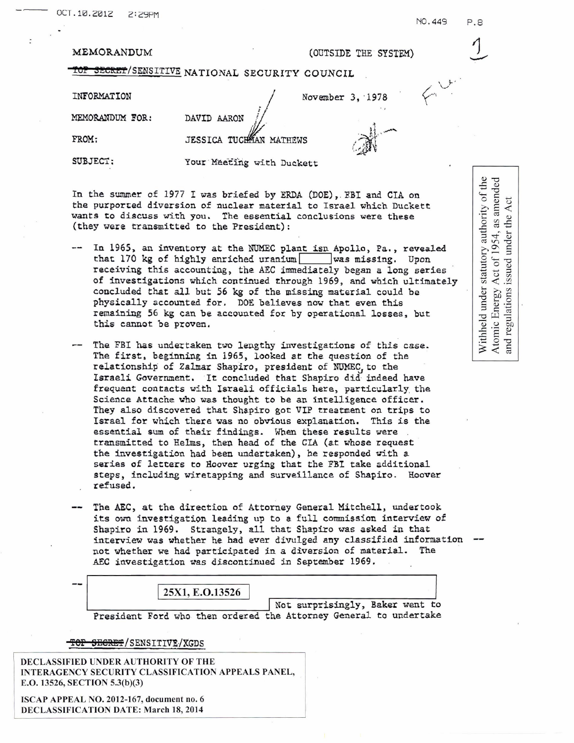| MEMORANDUM |  |
|------------|--|
|------------|--|

MEMORANDUM FOR: DAVID AARON

# (OUTSIDE THE SYSTEM)

**BECRET/SENSITIVE NATIONAL SECURITY COUNCIL** 

INFORMATION November 3, 1978

NET MORE TO AN ARON NOVEMBER 3, 1978<br>NEMORANDUM FOR: DAVID AARON NATHEWS (FROM: JESSICA TUCHAN MATHEWS

SUBJECT: Your Meeting with Duckett

In the summer of 1977 I was briefed by ERDA (DOE), FBI and CIA on the purported diversion of nuclear material to Israel which Duckett wants to discuss with you. The essential conclusions were these (they were transmitted to the President):

- In 1965, an inventory at the NUMEC plant isn Apollo, Pa., revealed that 170 kg of highly enriched uranium | was missing. Upon receiving this accounting, the AEC immediately began a long series of investigations which continued through 1969, and which ultimately concluded that all but 56 kg of the missing material could be physically accounted for. DOE believes now that even this remaining 56 kg can be accounted for by operational losses, but this cannot be proven.
- -- The FBI has undertaken two lengthy investigations of this case. The first, beginning in 1965, looked at the question of the relationship of Zalmar Shapiro, president of NUMEC to the Israeli Government. It concluded that Shapiro did indeed have frequent contacts with Israeli officials here, particularly the Science Attache who was thought to be an intelligence officer. They also discovered that Shapiro got VIP treatment on trips to Israel for which there was no obvious explanation. This is the essential sum of their findings. When these results were transmitted to Helms, then head of the CIA (at whose request the investigation had been undertaken), he responded with a series of letters to Hoover urging that the FBI take additional steps, including wiretapping and surveillance of Shapiro. Hoover refused.
- The AEC, at the direction of Attorney General Mitchell, undertook its own investigation leading up to a full commission interview of Shapiro in 1969. Strangely, all that Shapiro was asked in that interview was whether he had ever divulged any classified information -not whether we had participated in a diversion of material. The AEC investigation was discontinued in September 1969.

## 25X1, E.O.13526

Not surprisingly, Baker went to President Ford who then ordered the Attorney General to undertake

## **TOP SECRET/SENSITIVE/XGDS**

DECLASSIFIED UNDER AUTHORITY OF THE INTERAGENCY SECURITY CLASSIFICATION APPEALS PANEL, E.O. 13526, SECTION 5.3(b)(3)

ISCAP APPEAL NO. 2012-167, document no. 6 DECLASSIFICATION DATE: March 18,2014 Withheld under statutory authority of the Act of 1954, as amended Act the  $\lambda$ under 1 issued Atomic Energy  $A$ <br>and regulations is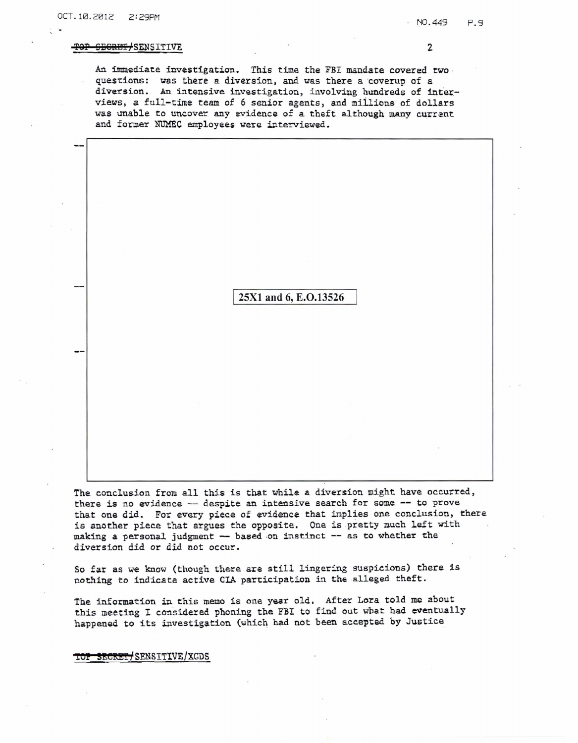## TOP SEGRET/SENSITIVE 2

An immediate investigation. This time the FBI mandate covered two. questions: was there a diversion, and was there a coverup of a diversion. An intensive investigation, involving hundreds of interviews, a full-time team of 6 senior agents, and millions of dollars was unable to uncover any evidence of a theft although many current and former NUMEC employees were interviewed.

# 25X1 and 6, E.O.13526

The conclusion from all this is that while a diversion might have occurred, there is no evidence -- despite an intensive search for some -- to prove that one did. For every piece of evidence that implies one conclusion, there is another piece that argues the opposite. One is pretty much left with making a personal judgment -- based on instinct -- as to whether the diversion did or did not occur.

So far as we know (though there are still lingering suspicions) there is nothing to indicate active CIA participation in the alleged theft.

The information in this memo is one yaar old. After Lora told me about this meeting I considered phoning the FBI to find out what had eventually happened to its investigation (which had not been accepted by Justice\_

TOP SECRET/SENSITIVE/XGDS